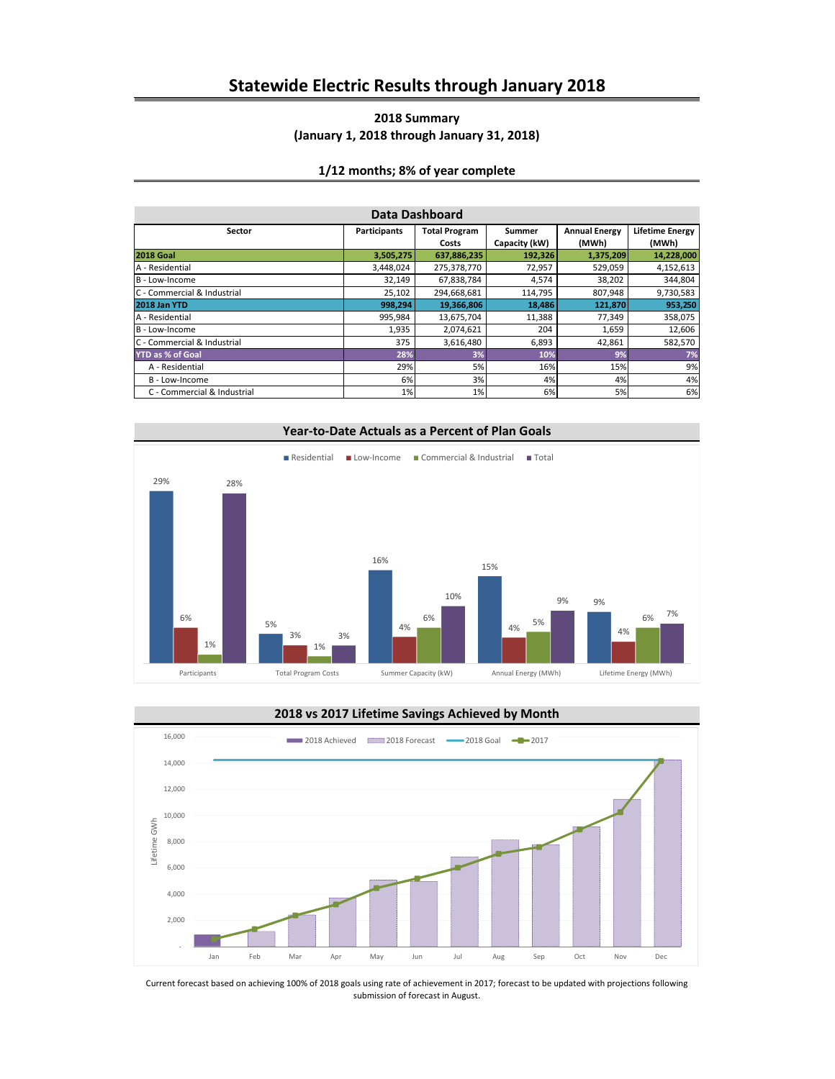### **2018 Summary (January 1, 2018 through January 31, 2018)**

#### **1/12 months; 8% of year complete**

| Data Dashboard              |              |                               |                         |                               |                                 |  |  |
|-----------------------------|--------------|-------------------------------|-------------------------|-------------------------------|---------------------------------|--|--|
| Sector                      | Participants | <b>Total Program</b><br>Costs | Summer<br>Capacity (kW) | <b>Annual Energy</b><br>(MWh) | <b>Lifetime Energy</b><br>(MWh) |  |  |
| <b>2018 Goal</b>            | 3,505,275    | 637,886,235                   | 192,326                 | 1,375,209                     | 14,228,000                      |  |  |
| A - Residential             | 3,448,024    | 275,378,770                   | 72,957                  | 529,059                       | 4,152,613                       |  |  |
| B - Low-Income              | 32,149       | 67,838,784                    | 4,574                   | 38,202                        | 344,804                         |  |  |
| C - Commercial & Industrial | 25,102       | 294,668,681                   | 114,795                 | 807,948                       | 9,730,583                       |  |  |
| <b>2018 Jan YTD</b>         | 998,294      | 19,366,806                    | 18,486                  | 121,870                       | 953,250                         |  |  |
| A - Residential             | 995,984      | 13,675,704                    | 11,388                  | 77,349                        | 358,075                         |  |  |
| B - Low-Income              | 1,935        | 2,074,621                     | 204                     | 1,659                         | 12,606                          |  |  |
| C - Commercial & Industrial | 375          | 3,616,480                     | 6,893                   | 42,861                        | 582,570                         |  |  |
| <b>YTD as % of Goal</b>     | 28%          | 3%                            | 10%                     | 9%                            | 7%                              |  |  |
| A - Residential             | 29%          | 5%                            | 16%                     | 15%                           | 9%                              |  |  |
| B - Low-Income              | 6%           | 3%                            | 4%                      | 4%                            | 4%                              |  |  |
| C - Commercial & Industrial | 1%           | 1%                            | 6%                      | 5%                            | 6%                              |  |  |





Current forecast based on achieving 100% of 2018 goals using rate of achievement in 2017; forecast to be updated with projections following submission of forecast in August.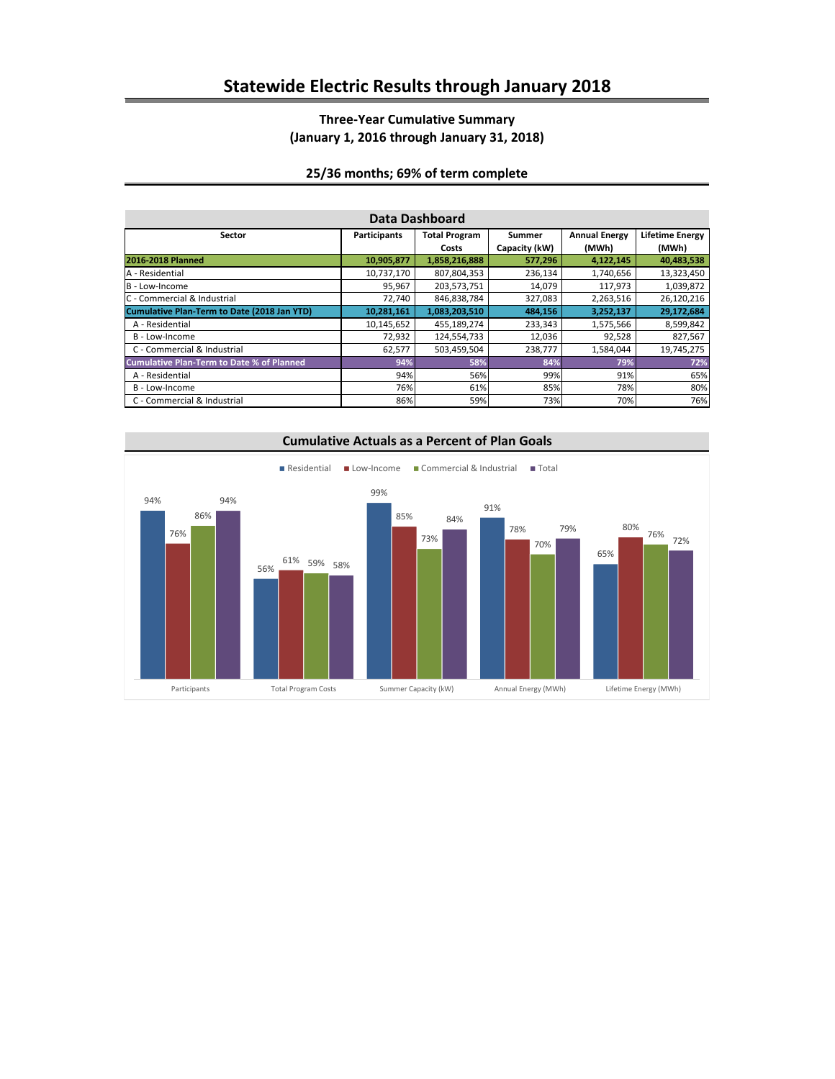# **Three-Year Cumulative Summary (January 1, 2016 through January 31, 2018)**

### **25/36 months; 69% of term complete**

| Data Dashboard                                   |                     |                      |               |                      |                        |  |
|--------------------------------------------------|---------------------|----------------------|---------------|----------------------|------------------------|--|
| Sector                                           | <b>Participants</b> | <b>Total Program</b> | Summer        | <b>Annual Energy</b> | <b>Lifetime Energy</b> |  |
|                                                  |                     | Costs                | Capacity (kW) | (MWh)                | (MWh)                  |  |
| 2016-2018 Planned                                | 10,905,877          | 1,858,216,888        | 577,296       | 4,122,145            | 40,483,538             |  |
| A - Residential                                  | 10,737,170          | 807,804,353          | 236,134       | 1,740,656            | 13,323,450             |  |
| B - Low-Income                                   | 95,967              | 203,573,751          | 14,079        | 117,973              | 1,039,872              |  |
| C - Commercial & Industrial                      | 72,740              | 846,838,784          | 327,083       | 2,263,516            | 26,120,216             |  |
| Cumulative Plan-Term to Date (2018 Jan YTD)      | 10,281,161          | 1,083,203,510        | 484,156       | 3,252,137            | 29,172,684             |  |
| A - Residential                                  | 10,145,652          | 455,189,274          | 233,343       | 1,575,566            | 8,599,842              |  |
| B - Low-Income                                   | 72,932              | 124,554,733          | 12,036        | 92,528               | 827,567                |  |
| C - Commercial & Industrial                      | 62,577              | 503,459,504          | 238,777       | 1,584,044            | 19,745,275             |  |
| <b>Cumulative Plan-Term to Date % of Planned</b> | 94%                 | 58%                  | 84%           | 79%                  | 72%                    |  |
| A - Residential                                  | 94%                 | 56%                  | 99%           | 91%                  | 65%                    |  |
| B - Low-Income                                   | 76%                 | 61%                  | 85%           | 78%                  | 80%                    |  |
| C - Commercial & Industrial                      | 86%                 | 59%                  | 73%           | 70%                  | 76%                    |  |

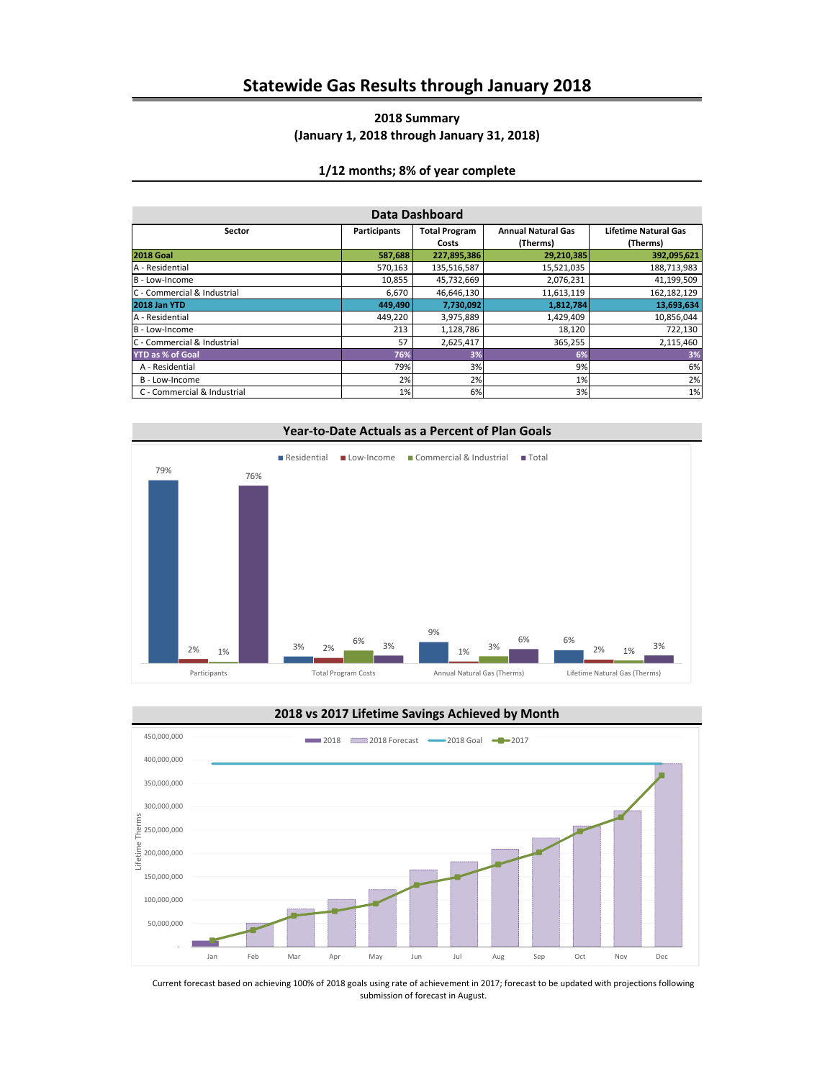### **2018 Summary (January 1, 2018 through January 31, 2018)**

#### **1/12 months; 8% of year complete**

| Data Dashboard              |                     |                      |                           |                             |  |
|-----------------------------|---------------------|----------------------|---------------------------|-----------------------------|--|
| Sector                      | <b>Participants</b> | <b>Total Program</b> | <b>Annual Natural Gas</b> | <b>Lifetime Natural Gas</b> |  |
|                             |                     | Costs                | (Therms)                  | (Therms)                    |  |
| <b>2018 Goal</b>            | 587,688             | 227,895,386          | 29,210,385                | 392,095,621                 |  |
| A - Residential             | 570,163             | 135,516,587          | 15,521,035                | 188,713,983                 |  |
| B - Low-Income              | 10,855              | 45,732,669           | 2,076,231                 | 41,199,509                  |  |
| C - Commercial & Industrial | 6,670               | 46,646,130           | 11,613,119                | 162,182,129                 |  |
| 2018 Jan YTD                | 449,490             | 7,730,092            | 1,812,784                 | 13,693,634                  |  |
| A - Residential             | 449,220             | 3,975,889            | 1,429,409                 | 10,856,044                  |  |
| B - Low-Income              | 213                 | 1,128,786            | 18,120                    | 722,130                     |  |
| C - Commercial & Industrial | 57                  | 2,625,417            | 365,255                   | 2,115,460                   |  |
| <b>YTD as % of Goal</b>     | 76%                 | 3%                   | 6%                        | 3%                          |  |
| A - Residential             | 79%                 | 3%                   | 9%                        | 6%                          |  |
| B - Low-Income              | 2%                  | 2%                   | 1%                        | 2%                          |  |
| C - Commercial & Industrial | 1%                  | 6%                   | 3%                        | 1%                          |  |





Current forecast based on achieving 100% of 2018 goals using rate of achievement in 2017; forecast to be updated with projections following submission of forecast in August.